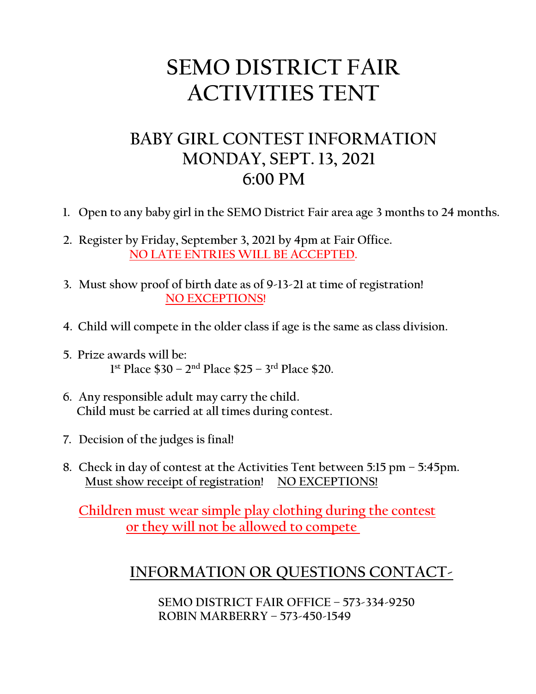## **SEMO DISTRICT FAIR ACTIVITIES TENT**

### **BABY GIRL CONTEST INFORMATION MONDAY, SEPT. 13, 2021 6:00 PM**

- **1. Open to any baby girl in the SEMO District Fair area age 3 months to 24 months.**
- **2. Register by Friday, September 3, 2021 by 4pm at Fair Office. NO LATE ENTRIES WILL BE ACCEPTED.**
- **3. Must show proof of birth date as of 9-13-21 at time of registration! NO EXCEPTIONS!**
- **4. Child will compete in the older class if age is the same as class division.**
- **5. Prize awards will be: 1st Place \$30 – 2nd Place \$25 – 3rd Place \$20.**
- **6. Any responsible adult may carry the child. Child must be carried at all times during contest.**
- **7. Decision of the judges is final!**
- **8. Check in day of contest at the Activities Tent between 5:15 pm – 5:45pm.** Must show receipt of registration! NO EXCEPTIONS!

 **Children must wear simple play clothing during the contest or they will not be allowed to compete** 

#### **INFORMATION OR QUESTIONS CONTACT-**

 **SEMO DISTRICT FAIR OFFICE – 573-334-9250 ROBIN MARBERRY – 573-450-1549**